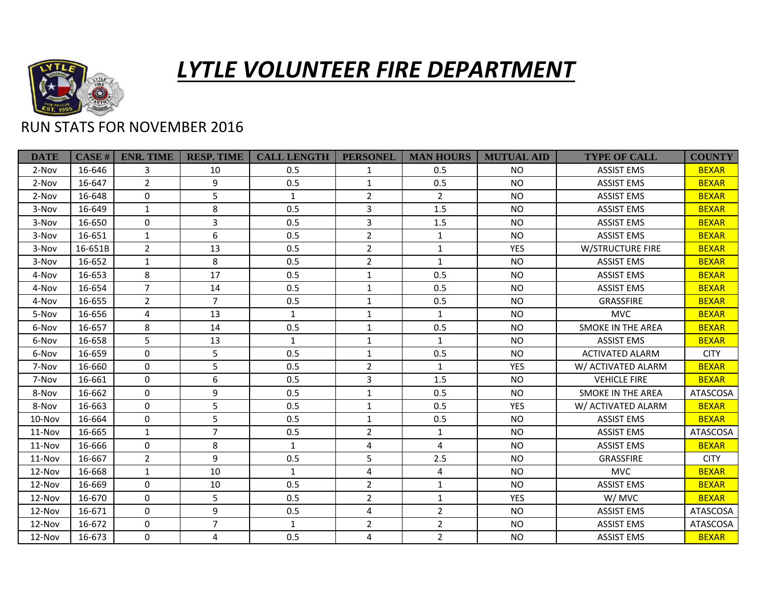

## *LYTLE VOLUNTEER FIRE DEPARTMENT*

## RUN STATS FOR NOVEMBER 2016

| <b>DATE</b> | <b>CASE#</b> | <b>ENR. TIME</b> | <b>RESP. TIME</b> | <b>CALL LENGTH</b> | <b>PERSONEL</b> | <b>MAN HOURS</b> | <b>MUTUAL AID</b> | <b>TYPE OF CALL</b>      | <b>COUNTY</b> |
|-------------|--------------|------------------|-------------------|--------------------|-----------------|------------------|-------------------|--------------------------|---------------|
| 2-Nov       | 16-646       | 3                | 10                | 0.5                | 1               | 0.5              | <b>NO</b>         | <b>ASSIST EMS</b>        | <b>BEXAR</b>  |
| 2-Nov       | 16-647       | $\overline{2}$   | 9                 | 0.5                | $\mathbf{1}$    | 0.5              | <b>NO</b>         | <b>ASSIST EMS</b>        | <b>BEXAR</b>  |
| 2-Nov       | 16-648       | $\mathbf{0}$     | 5                 | $\mathbf{1}$       | $\overline{2}$  | $\overline{2}$   | <b>NO</b>         | <b>ASSIST EMS</b>        | <b>BEXAR</b>  |
| 3-Nov       | 16-649       | 1                | 8                 | 0.5                | 3               | 1.5              | <b>NO</b>         | <b>ASSIST EMS</b>        | <b>BEXAR</b>  |
| 3-Nov       | 16-650       | $\mathbf{0}$     | 3                 | 0.5                | 3               | 1.5              | <b>NO</b>         | <b>ASSIST EMS</b>        | <b>BEXAR</b>  |
| 3-Nov       | 16-651       | $\mathbf{1}$     | 6                 | 0.5                | $\overline{2}$  | $\mathbf{1}$     | <b>NO</b>         | <b>ASSIST EMS</b>        | <b>BEXAR</b>  |
| 3-Nov       | 16-651B      | $\overline{2}$   | 13                | 0.5                | $\overline{2}$  | $\mathbf{1}$     | <b>YES</b>        | <b>W/STRUCTURE FIRE</b>  | <b>BEXAR</b>  |
| 3-Nov       | 16-652       | $\mathbf{1}$     | 8                 | 0.5                | $\overline{2}$  | $\mathbf{1}$     | <b>NO</b>         | <b>ASSIST EMS</b>        | <b>BEXAR</b>  |
| 4-Nov       | 16-653       | 8                | 17                | 0.5                | $\mathbf{1}$    | 0.5              | <b>NO</b>         | <b>ASSIST EMS</b>        | <b>BEXAR</b>  |
| 4-Nov       | 16-654       | $\overline{7}$   | 14                | 0.5                | $\mathbf 1$     | 0.5              | <b>NO</b>         | <b>ASSIST EMS</b>        | <b>BEXAR</b>  |
| 4-Nov       | 16-655       | $\overline{2}$   | $\overline{7}$    | 0.5                | $\mathbf{1}$    | 0.5              | <b>NO</b>         | GRASSFIRE                | <b>BEXAR</b>  |
| 5-Nov       | 16-656       | 4                | 13                | $\mathbf{1}$       | $\mathbf{1}$    | $\mathbf{1}$     | <b>NO</b>         | <b>MVC</b>               | <b>BEXAR</b>  |
| 6-Nov       | 16-657       | 8                | 14                | 0.5                | $\mathbf{1}$    | 0.5              | <b>NO</b>         | <b>SMOKE IN THE AREA</b> | <b>BEXAR</b>  |
| 6-Nov       | 16-658       | 5                | 13                | 1                  | $\mathbf{1}$    | $\mathbf{1}$     | <b>NO</b>         | <b>ASSIST EMS</b>        | <b>BEXAR</b>  |
| 6-Nov       | 16-659       | $\Omega$         | 5                 | 0.5                | $\mathbf{1}$    | 0.5              | <b>NO</b>         | <b>ACTIVATED ALARM</b>   | <b>CITY</b>   |
| 7-Nov       | 16-660       | $\Omega$         | 5                 | 0.5                | $\overline{2}$  | $\mathbf{1}$     | <b>YES</b>        | W/ ACTIVATED ALARM       | <b>BEXAR</b>  |
| 7-Nov       | 16-661       | $\Omega$         | 6                 | 0.5                | 3               | 1.5              | <b>NO</b>         | <b>VEHICLE FIRE</b>      | <b>BEXAR</b>  |
| 8-Nov       | 16-662       | $\Omega$         | 9                 | 0.5                | $\mathbf{1}$    | 0.5              | <b>NO</b>         | <b>SMOKE IN THE AREA</b> | ATASCOSA      |
| 8-Nov       | 16-663       | $\Omega$         | 5                 | 0.5                | $\mathbf{1}$    | 0.5              | <b>YES</b>        | W/ ACTIVATED ALARM       | <b>BEXAR</b>  |
| 10-Nov      | 16-664       | $\Omega$         | 5                 | 0.5                | $\mathbf{1}$    | 0.5              | <b>NO</b>         | <b>ASSIST EMS</b>        | <b>BEXAR</b>  |
| 11-Nov      | 16-665       | $\mathbf{1}$     | $\overline{7}$    | 0.5                | $\overline{2}$  | $\mathbf{1}$     | <b>NO</b>         | <b>ASSIST EMS</b>        | ATASCOSA      |
| 11-Nov      | 16-666       | $\mathbf{0}$     | 8                 | $\mathbf{1}$       | 4               | 4                | <b>NO</b>         | <b>ASSIST EMS</b>        | <b>BEXAR</b>  |
| 11-Nov      | 16-667       | $\overline{2}$   | 9                 | 0.5                | 5               | 2.5              | <b>NO</b>         | <b>GRASSFIRE</b>         | <b>CITY</b>   |
| $12-Nov$    | 16-668       | $\mathbf{1}$     | 10                | $\mathbf{1}$       | 4               | 4                | <b>NO</b>         | <b>MVC</b>               | <b>BEXAR</b>  |
| 12-Nov      | 16-669       | $\mathbf{0}$     | 10                | 0.5                | 2               | $\mathbf{1}$     | <b>NO</b>         | <b>ASSIST EMS</b>        | <b>BEXAR</b>  |
| 12-Nov      | 16-670       | $\Omega$         | 5                 | 0.5                | $\overline{2}$  | $\mathbf{1}$     | <b>YES</b>        | W/MVC                    | <b>BEXAR</b>  |
| 12-Nov      | 16-671       | $\mathbf{0}$     | 9                 | 0.5                | 4               | $\overline{2}$   | <b>NO</b>         | <b>ASSIST EMS</b>        | ATASCOSA      |
| 12-Nov      | 16-672       | $\Omega$         | $\overline{7}$    | $\mathbf{1}$       | $\overline{2}$  | $\overline{2}$   | <b>NO</b>         | <b>ASSIST EMS</b>        | ATASCOSA      |
| 12-Nov      | 16-673       | $\Omega$         | 4                 | 0.5                | 4               | $\overline{2}$   | <b>NO</b>         | <b>ASSIST EMS</b>        | <b>BEXAR</b>  |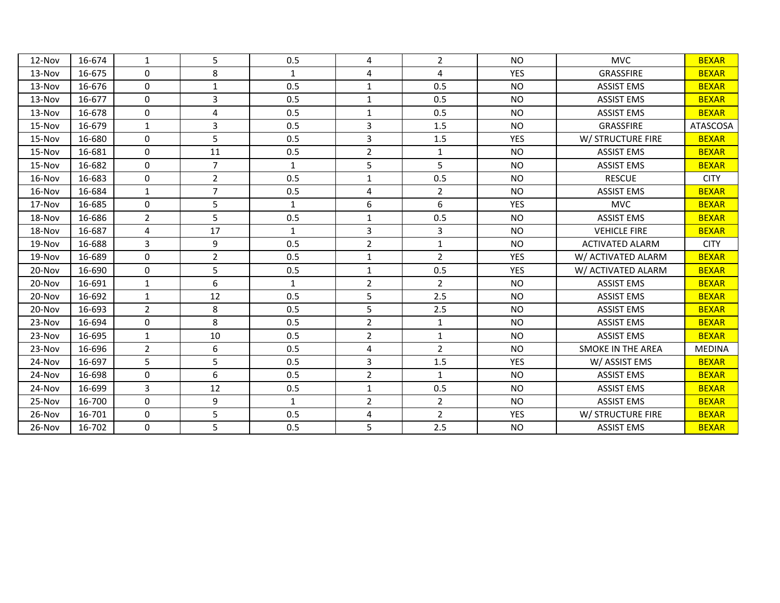| 12-Nov   | 16-674 | $\mathbf{1}$   | 5              | 0.5          | 4              | $\overline{2}$ | <b>NO</b>      | <b>MVC</b>               | <b>BEXAR</b>    |
|----------|--------|----------------|----------------|--------------|----------------|----------------|----------------|--------------------------|-----------------|
| $13-Nov$ | 16-675 | 0              | 8              | 1            | 4              | 4              | <b>YES</b>     | GRASSFIRE                | <b>BEXAR</b>    |
| 13-Nov   | 16-676 | $\mathbf{0}$   | $\mathbf{1}$   | 0.5          | $\mathbf{1}$   | 0.5            | <b>NO</b>      | <b>ASSIST EMS</b>        | <b>BEXAR</b>    |
| 13-Nov   | 16-677 | 0              | 3              | 0.5          | $\mathbf{1}$   | 0.5            | <b>NO</b>      | <b>ASSIST EMS</b>        | <b>BEXAR</b>    |
| 13-Nov   | 16-678 | $\Omega$       | 4              | 0.5          | $\mathbf{1}$   | 0.5            | <b>NO</b>      | <b>ASSIST EMS</b>        | <b>BEXAR</b>    |
| 15-Nov   | 16-679 | $\mathbf{1}$   | 3              | 0.5          | 3              | 1.5            | <b>NO</b>      | <b>GRASSFIRE</b>         | <b>ATASCOSA</b> |
| 15-Nov   | 16-680 | $\mathbf{0}$   | 5              | 0.5          | 3              | 1.5            | <b>YES</b>     | W/ STRUCTURE FIRE        | <b>BEXAR</b>    |
| 15-Nov   | 16-681 | $\mathbf{0}$   | 11             | 0.5          | $\overline{2}$ | $\mathbf{1}$   | <b>NO</b>      | <b>ASSIST EMS</b>        | <b>BEXAR</b>    |
| 15-Nov   | 16-682 | 0              | $\overline{7}$ | $\mathbf{1}$ | 5              | 5              | <b>NO</b>      | <b>ASSIST EMS</b>        | <b>BEXAR</b>    |
| 16-Nov   | 16-683 | $\mathbf{0}$   | $\overline{2}$ | 0.5          | $\mathbf{1}$   | 0.5            | <b>NO</b>      | <b>RESCUE</b>            | <b>CITY</b>     |
| 16-Nov   | 16-684 | $\mathbf{1}$   | $\overline{7}$ | 0.5          | 4              | $\overline{2}$ | <b>NO</b>      | <b>ASSIST EMS</b>        | <b>BEXAR</b>    |
| 17-Nov   | 16-685 | 0              | 5              | $\mathbf{1}$ | 6              | 6              | <b>YES</b>     | <b>MVC</b>               | <b>BEXAR</b>    |
| 18-Nov   | 16-686 | $\overline{2}$ | 5              | 0.5          | $\mathbf{1}$   | 0.5            | <b>NO</b>      | <b>ASSIST EMS</b>        | <b>BEXAR</b>    |
| 18-Nov   | 16-687 | 4              | 17             | 1            | 3              | 3              | <b>NO</b>      | <b>VEHICLE FIRE</b>      | <b>BEXAR</b>    |
| $19-Nov$ | 16-688 | 3              | 9              | 0.5          | $\overline{2}$ | $\mathbf{1}$   | <b>NO</b>      | <b>ACTIVATED ALARM</b>   | <b>CITY</b>     |
| 19-Nov   | 16-689 | 0              | $\overline{2}$ | 0.5          | $\mathbf{1}$   | $\overline{2}$ | <b>YES</b>     | W/ ACTIVATED ALARM       | <b>BEXAR</b>    |
| 20-Nov   | 16-690 | $\mathbf{0}$   | 5              | 0.5          | $\mathbf{1}$   | 0.5            | <b>YES</b>     | W/ ACTIVATED ALARM       | <b>BEXAR</b>    |
| 20-Nov   | 16-691 | $\mathbf{1}$   | 6              | $\mathbf{1}$ | $\overline{2}$ | $\overline{2}$ | <b>NO</b>      | <b>ASSIST EMS</b>        | <b>BEXAR</b>    |
| 20-Nov   | 16-692 | $\mathbf{1}$   | 12             | 0.5          | 5              | 2.5            | <b>NO</b>      | <b>ASSIST EMS</b>        | <b>BEXAR</b>    |
| 20-Nov   | 16-693 | $\overline{2}$ | 8              | 0.5          | 5              | 2.5            | <b>NO</b>      | <b>ASSIST EMS</b>        | <b>BEXAR</b>    |
| 23-Nov   | 16-694 | 0              | 8              | 0.5          | 2              | 1              | N <sub>O</sub> | <b>ASSIST EMS</b>        | <b>BEXAR</b>    |
| 23-Nov   | 16-695 | $\mathbf{1}$   | 10             | 0.5          | $\overline{2}$ | $\mathbf{1}$   | <b>NO</b>      | <b>ASSIST EMS</b>        | <b>BEXAR</b>    |
| 23-Nov   | 16-696 | $\overline{2}$ | 6              | 0.5          | 4              | $\overline{2}$ | <b>NO</b>      | <b>SMOKE IN THE AREA</b> | <b>MEDINA</b>   |
| 24-Nov   | 16-697 | 5              | 5              | 0.5          | 3              | 1.5            | <b>YES</b>     | W/ASSISTEMS              | <b>BEXAR</b>    |
| 24-Nov   | 16-698 | 0              | 6              | 0.5          | $\overline{2}$ | $\mathbf{1}$   | <b>NO</b>      | <b>ASSIST EMS</b>        | <b>BEXAR</b>    |
| 24-Nov   | 16-699 | 3              | 12             | 0.5          | $\mathbf{1}$   | 0.5            | <b>NO</b>      | <b>ASSIST EMS</b>        | <b>BEXAR</b>    |
| 25-Nov   | 16-700 | $\mathbf{0}$   | 9              | $\mathbf{1}$ | $\overline{2}$ | $\overline{2}$ | <b>NO</b>      | <b>ASSIST EMS</b>        | <b>BEXAR</b>    |
| 26-Nov   | 16-701 | 0              | 5              | 0.5          | 4              | $\overline{2}$ | <b>YES</b>     | W/ STRUCTURE FIRE        | <b>BEXAR</b>    |
| 26-Nov   | 16-702 | $\mathbf{0}$   | 5              | 0.5          | 5              | 2.5            | <b>NO</b>      | <b>ASSIST EMS</b>        | <b>BEXAR</b>    |